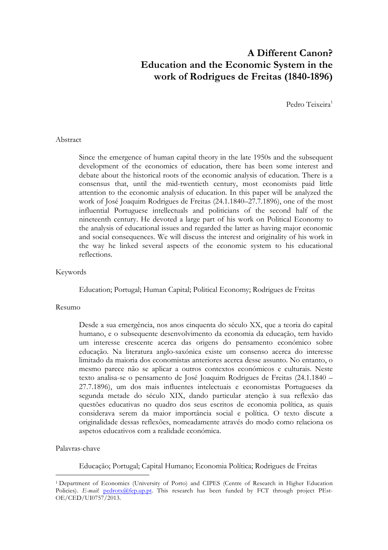# **A Different Canon? Education and the Economic System in the work of Rodrigues de Freitas (1840-1896)**

Pedro Teixeira<sup>1</sup>

# Abstract

Since the emergence of human capital theory in the late 1950s and the subsequent development of the economics of education, there has been some interest and debate about the historical roots of the economic analysis of education. There is a consensus that, until the mid-twentieth century, most economists paid little attention to the economic analysis of education. In this paper will be analyzed the work of José Joaquim Rodrigues de Freitas (24.1.1840–27.7.1896), one of the most influential Portuguese intellectuals and politicians of the second half of the nineteenth century. He devoted a large part of his work on Political Economy to the analysis of educational issues and regarded the latter as having major economic and social consequences. We will discuss the interest and originality of his work in the way he linked several aspects of the economic system to his educational reflections.

#### Keywords

Education; Portugal; Human Capital; Political Economy; Rodrigues de Freitas

#### Resumo

Desde a sua emergência, nos anos cinquenta do século XX, que a teoria do capital humano, e o subsequente desenvolvimento da economia da educação, tem havido um interesse crescente acerca das origens do pensamento económico sobre educação. Na literatura anglo-saxónica existe um consenso acerca do interesse limitado da maioria dos economistas anteriores acerca desse assunto. No entanto, o mesmo parece não se aplicar a outros contextos económicos e culturais. Neste texto analisa-se o pensamento de José Joaquim Rodrigues de Freitas (24.1.1840 – 27.7.1896), um dos mais influentes intelectuais e economistas Portugueses da segunda metade do século XIX, dando particular atenção à sua reflexão das questões educativas no quadro dos seus escritos de economia política, as quais considerava serem da maior importância social e política. O texto discute a originalidade dessas reflexões, nomeadamente através do modo como relaciona os aspetos educativos com a realidade económica.

#### Palavras-chave

 $\overline{a}$ 

Educação; Portugal; Capital Humano; Economia Política; Rodrigues de Freitas

<sup>1</sup> Department of Economics (University of Porto) and CIPES (Centre of Research in Higher Education Policies). *E-mail*: pedrotx@fep.up.pt. This research has been funded by FCT through project PEst-OE/CED/UI0757/2013.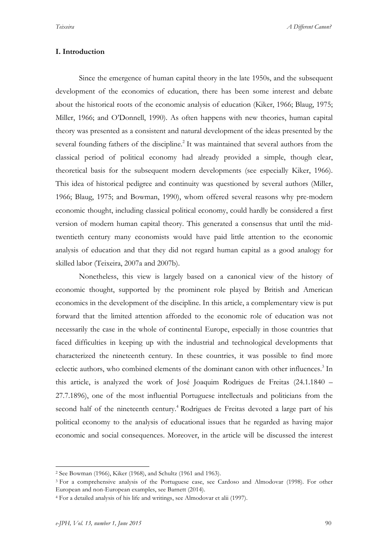*Teixeira A Different Canon?*

### **I. Introduction**

Since the emergence of human capital theory in the late 1950s, and the subsequent development of the economics of education, there has been some interest and debate about the historical roots of the economic analysis of education (Kiker, 1966; Blaug, 1975; Miller, 1966; and O'Donnell, 1990). As often happens with new theories, human capital theory was presented as a consistent and natural development of the ideas presented by the several founding fathers of the discipline.<sup>2</sup> It was maintained that several authors from the classical period of political economy had already provided a simple, though clear, theoretical basis for the subsequent modern developments (see especially Kiker, 1966). This idea of historical pedigree and continuity was questioned by several authors (Miller, 1966; Blaug, 1975; and Bowman, 1990), whom offered several reasons why pre-modern economic thought, including classical political economy, could hardly be considered a first version of modern human capital theory. This generated a consensus that until the midtwentieth century many economists would have paid little attention to the economic analysis of education and that they did not regard human capital as a good analogy for skilled labor (Teixeira, 2007a and 2007b).

Nonetheless, this view is largely based on a canonical view of the history of economic thought, supported by the prominent role played by British and American economics in the development of the discipline. In this article, a complementary view is put forward that the limited attention afforded to the economic role of education was not necessarily the case in the whole of continental Europe, especially in those countries that faced difficulties in keeping up with the industrial and technological developments that characterized the nineteenth century. In these countries, it was possible to find more eclectic authors, who combined elements of the dominant canon with other influences.<sup>3</sup> In this article, is analyzed the work of José Joaquim Rodrigues de Freitas (24.1.1840 – 27.7.1896), one of the most influential Portuguese intellectuals and politicians from the second half of the nineteenth century.<sup>4</sup> Rodrigues de Freitas devoted a large part of his political economy to the analysis of educational issues that he regarded as having major economic and social consequences. Moreover, in the article will be discussed the interest

 <sup>2</sup> See Bowman (1966), Kiker (1968), and Schultz (1961 and 1963).

<sup>3</sup> For a comprehensive analysis of the Portuguese case, see Cardoso and Almodovar (1998). For other European and non-European examples, see Barnett (2014).

<sup>4</sup> For a detailed analysis of his life and writings, see Almodovar et alii (1997).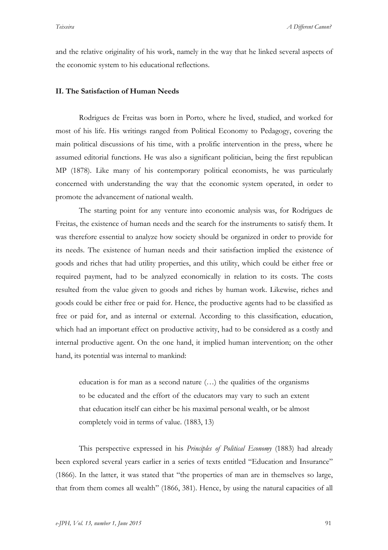and the relative originality of his work, namely in the way that he linked several aspects of the economic system to his educational reflections.

#### **II. The Satisfaction of Human Needs**

Rodrigues de Freitas was born in Porto, where he lived, studied, and worked for most of his life. His writings ranged from Political Economy to Pedagogy, covering the main political discussions of his time, with a prolific intervention in the press, where he assumed editorial functions. He was also a significant politician, being the first republican MP (1878). Like many of his contemporary political economists, he was particularly concerned with understanding the way that the economic system operated, in order to promote the advancement of national wealth.

The starting point for any venture into economic analysis was, for Rodrigues de Freitas, the existence of human needs and the search for the instruments to satisfy them. It was therefore essential to analyze how society should be organized in order to provide for its needs. The existence of human needs and their satisfaction implied the existence of goods and riches that had utility properties, and this utility, which could be either free or required payment, had to be analyzed economically in relation to its costs. The costs resulted from the value given to goods and riches by human work. Likewise, riches and goods could be either free or paid for. Hence, the productive agents had to be classified as free or paid for, and as internal or external. According to this classification, education, which had an important effect on productive activity, had to be considered as a costly and internal productive agent. On the one hand, it implied human intervention; on the other hand, its potential was internal to mankind:

education is for man as a second nature (…) the qualities of the organisms to be educated and the effort of the educators may vary to such an extent that education itself can either be his maximal personal wealth, or be almost completely void in terms of value. (1883, 13)

This perspective expressed in his *Principles of Political Economy* (1883) had already been explored several years earlier in a series of texts entitled "Education and Insurance" (1866). In the latter, it was stated that "the properties of man are in themselves so large, that from them comes all wealth" (1866, 381). Hence, by using the natural capacities of all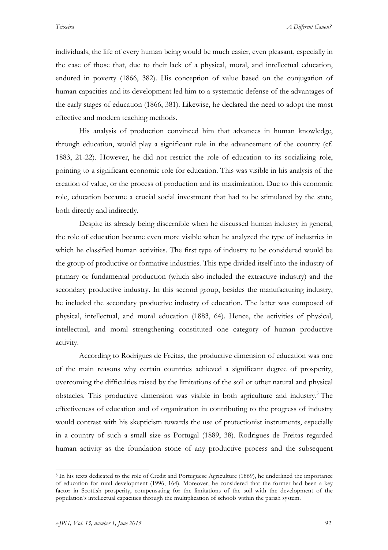individuals, the life of every human being would be much easier, even pleasant, especially in the case of those that, due to their lack of a physical, moral, and intellectual education, endured in poverty (1866, 382). His conception of value based on the conjugation of human capacities and its development led him to a systematic defense of the advantages of the early stages of education (1866, 381). Likewise, he declared the need to adopt the most effective and modern teaching methods.

His analysis of production convinced him that advances in human knowledge, through education, would play a significant role in the advancement of the country (cf. 1883, 21-22). However, he did not restrict the role of education to its socializing role, pointing to a significant economic role for education. This was visible in his analysis of the creation of value, or the process of production and its maximization. Due to this economic role, education became a crucial social investment that had to be stimulated by the state, both directly and indirectly.

Despite its already being discernible when he discussed human industry in general, the role of education became even more visible when he analyzed the type of industries in which he classified human activities. The first type of industry to be considered would be the group of productive or formative industries. This type divided itself into the industry of primary or fundamental production (which also included the extractive industry) and the secondary productive industry. In this second group, besides the manufacturing industry, he included the secondary productive industry of education. The latter was composed of physical, intellectual, and moral education (1883, 64). Hence, the activities of physical, intellectual, and moral strengthening constituted one category of human productive activity.

According to Rodrigues de Freitas, the productive dimension of education was one of the main reasons why certain countries achieved a significant degree of prosperity, overcoming the difficulties raised by the limitations of the soil or other natural and physical obstacles. This productive dimension was visible in both agriculture and industry.<sup>5</sup> The effectiveness of education and of organization in contributing to the progress of industry would contrast with his skepticism towards the use of protectionist instruments, especially in a country of such a small size as Portugal (1889, 38). Rodrigues de Freitas regarded human activity as the foundation stone of any productive process and the subsequent

 <sup>5</sup> In his texts dedicated to the role of Credit and Portuguese Agriculture (1869), he underlined the importance of education for rural development (1996, 164). Moreover, he considered that the former had been a key factor in Scottish prosperity, compensating for the limitations of the soil with the development of the population's intellectual capacities through the multiplication of schools within the parish system.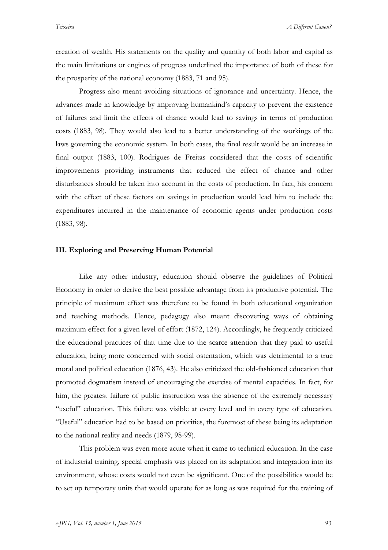creation of wealth. His statements on the quality and quantity of both labor and capital as the main limitations or engines of progress underlined the importance of both of these for the prosperity of the national economy (1883, 71 and 95).

Progress also meant avoiding situations of ignorance and uncertainty. Hence, the advances made in knowledge by improving humankind's capacity to prevent the existence of failures and limit the effects of chance would lead to savings in terms of production costs (1883, 98). They would also lead to a better understanding of the workings of the laws governing the economic system. In both cases, the final result would be an increase in final output (1883, 100). Rodrigues de Freitas considered that the costs of scientific improvements providing instruments that reduced the effect of chance and other disturbances should be taken into account in the costs of production. In fact, his concern with the effect of these factors on savings in production would lead him to include the expenditures incurred in the maintenance of economic agents under production costs (1883, 98).

#### **III. Exploring and Preserving Human Potential**

Like any other industry, education should observe the guidelines of Political Economy in order to derive the best possible advantage from its productive potential. The principle of maximum effect was therefore to be found in both educational organization and teaching methods. Hence, pedagogy also meant discovering ways of obtaining maximum effect for a given level of effort (1872, 124). Accordingly, he frequently criticized the educational practices of that time due to the scarce attention that they paid to useful education, being more concerned with social ostentation, which was detrimental to a true moral and political education (1876, 43). He also criticized the old-fashioned education that promoted dogmatism instead of encouraging the exercise of mental capacities. In fact, for him, the greatest failure of public instruction was the absence of the extremely necessary "useful" education. This failure was visible at every level and in every type of education. "Useful" education had to be based on priorities, the foremost of these being its adaptation to the national reality and needs (1879, 98-99).

This problem was even more acute when it came to technical education. In the case of industrial training, special emphasis was placed on its adaptation and integration into its environment, whose costs would not even be significant. One of the possibilities would be to set up temporary units that would operate for as long as was required for the training of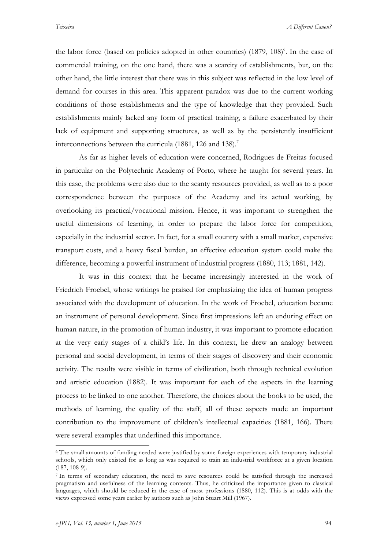the labor force (based on policies adopted in other countries) (1879, 108)<sup>6</sup>. In the case of commercial training, on the one hand, there was a scarcity of establishments, but, on the other hand, the little interest that there was in this subject was reflected in the low level of demand for courses in this area. This apparent paradox was due to the current working conditions of those establishments and the type of knowledge that they provided. Such establishments mainly lacked any form of practical training, a failure exacerbated by their lack of equipment and supporting structures, as well as by the persistently insufficient interconnections between the curricula  $(1881, 126 \text{ and } 138)^7$ 

As far as higher levels of education were concerned, Rodrigues de Freitas focused in particular on the Polytechnic Academy of Porto, where he taught for several years. In this case, the problems were also due to the scanty resources provided, as well as to a poor correspondence between the purposes of the Academy and its actual working, by overlooking its practical/vocational mission. Hence, it was important to strengthen the useful dimensions of learning, in order to prepare the labor force for competition, especially in the industrial sector. In fact, for a small country with a small market, expensive transport costs, and a heavy fiscal burden, an effective education system could make the difference, becoming a powerful instrument of industrial progress (1880, 113; 1881, 142).

It was in this context that he became increasingly interested in the work of Friedrich Froebel, whose writings he praised for emphasizing the idea of human progress associated with the development of education. In the work of Froebel, education became an instrument of personal development. Since first impressions left an enduring effect on human nature, in the promotion of human industry, it was important to promote education at the very early stages of a child's life. In this context, he drew an analogy between personal and social development, in terms of their stages of discovery and their economic activity. The results were visible in terms of civilization, both through technical evolution and artistic education (1882). It was important for each of the aspects in the learning process to be linked to one another. Therefore, the choices about the books to be used, the methods of learning, the quality of the staff, all of these aspects made an important contribution to the improvement of children's intellectual capacities (1881, 166). There were several examples that underlined this importance.

 <sup>6</sup> The small amounts of funding needed were justified by some foreign experiences with temporary industrial schools, which only existed for as long as was required to train an industrial workforce at a given location (187, 108-9).

<sup>7</sup> In terms of secondary education, the need to save resources could be satisfied through the increased pragmatism and usefulness of the learning contents. Thus, he criticized the importance given to classical languages, which should be reduced in the case of most professions (1880, 112). This is at odds with the views expressed some years earlier by authors such as John Stuart Mill (1967).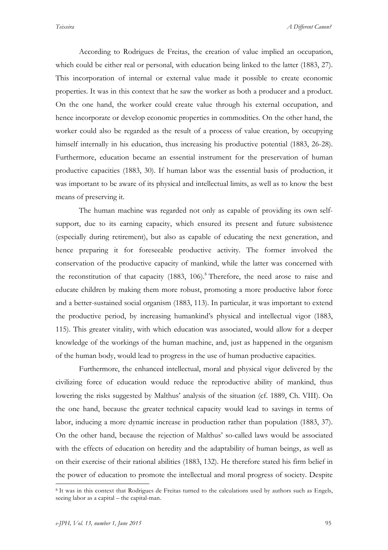According to Rodrigues de Freitas, the creation of value implied an occupation, which could be either real or personal, with education being linked to the latter (1883, 27). This incorporation of internal or external value made it possible to create economic properties. It was in this context that he saw the worker as both a producer and a product. On the one hand, the worker could create value through his external occupation, and hence incorporate or develop economic properties in commodities. On the other hand, the worker could also be regarded as the result of a process of value creation, by occupying himself internally in his education, thus increasing his productive potential (1883, 26-28). Furthermore, education became an essential instrument for the preservation of human productive capacities (1883, 30). If human labor was the essential basis of production, it was important to be aware of its physical and intellectual limits, as well as to know the best means of preserving it.

The human machine was regarded not only as capable of providing its own selfsupport, due to its earning capacity, which ensured its present and future subsistence (especially during retirement), but also as capable of educating the next generation, and hence preparing it for foreseeable productive activity. The former involved the conservation of the productive capacity of mankind, while the latter was concerned with the reconstitution of that capacity  $(1883, 106)$ .<sup>8</sup> Therefore, the need arose to raise and educate children by making them more robust, promoting a more productive labor force and a better-sustained social organism (1883, 113). In particular, it was important to extend the productive period, by increasing humankind's physical and intellectual vigor (1883, 115). This greater vitality, with which education was associated, would allow for a deeper knowledge of the workings of the human machine, and, just as happened in the organism of the human body, would lead to progress in the use of human productive capacities.

Furthermore, the enhanced intellectual, moral and physical vigor delivered by the civilizing force of education would reduce the reproductive ability of mankind, thus lowering the risks suggested by Malthus' analysis of the situation (cf. 1889, Ch. VIII). On the one hand, because the greater technical capacity would lead to savings in terms of labor, inducing a more dynamic increase in production rather than population (1883, 37). On the other hand, because the rejection of Malthus' so-called laws would be associated with the effects of education on heredity and the adaptability of human beings, as well as on their exercise of their rational abilities (1883, 132). He therefore stated his firm belief in the power of education to promote the intellectual and moral progress of society. Despite

 <sup>8</sup> It was in this context that Rodrigues de Freitas turned to the calculations used by authors such as Engels, seeing labor as a capital – the capital-man.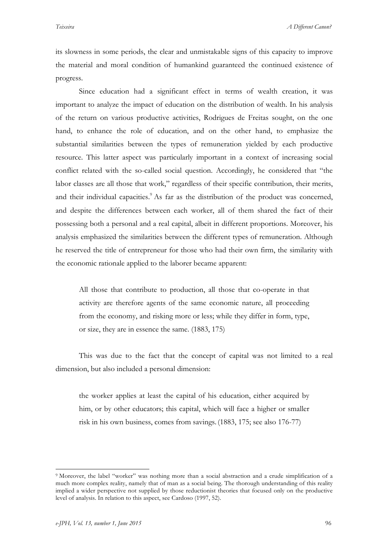its slowness in some periods, the clear and unmistakable signs of this capacity to improve the material and moral condition of humankind guaranteed the continued existence of progress.

Since education had a significant effect in terms of wealth creation, it was important to analyze the impact of education on the distribution of wealth. In his analysis of the return on various productive activities, Rodrigues de Freitas sought, on the one hand, to enhance the role of education, and on the other hand, to emphasize the substantial similarities between the types of remuneration yielded by each productive resource. This latter aspect was particularly important in a context of increasing social conflict related with the so-called social question. Accordingly, he considered that "the labor classes are all those that work," regardless of their specific contribution, their merits, and their individual capacities.<sup>9</sup> As far as the distribution of the product was concerned, and despite the differences between each worker, all of them shared the fact of their possessing both a personal and a real capital, albeit in different proportions. Moreover, his analysis emphasized the similarities between the different types of remuneration. Although he reserved the title of entrepreneur for those who had their own firm, the similarity with the economic rationale applied to the laborer became apparent:

All those that contribute to production, all those that co-operate in that activity are therefore agents of the same economic nature, all proceeding from the economy, and risking more or less; while they differ in form, type, or size, they are in essence the same. (1883, 175)

This was due to the fact that the concept of capital was not limited to a real dimension, but also included a personal dimension:

the worker applies at least the capital of his education, either acquired by him, or by other educators; this capital, which will face a higher or smaller risk in his own business, comes from savings.(1883, 175; see also 176-77)

 <sup>9</sup> Moreover, the label "worker" was nothing more than a social abstraction and <sup>a</sup> crude simplification of a much more complex reality, namely that of man as a social being. The thorough understanding of this reality implied a wider perspective not supplied by those reductionist theories that focused only on the productive level of analysis. In relation to this aspect, see Cardoso (1997, 52).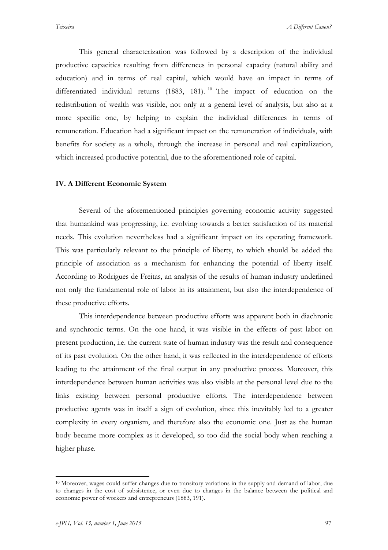This general characterization was followed by a description of the individual productive capacities resulting from differences in personal capacity (natural ability and education) and in terms of real capital, which would have an impact in terms of differentiated individual returns (1883, 181). <sup>10</sup> The impact of education on the redistribution of wealth was visible, not only at a general level of analysis, but also at a more specific one, by helping to explain the individual differences in terms of remuneration. Education had a significant impact on the remuneration of individuals, with benefits for society as a whole, through the increase in personal and real capitalization, which increased productive potential, due to the aforementioned role of capital.

# **IV. A Different Economic System**

Several of the aforementioned principles governing economic activity suggested that humankind was progressing, i.e. evolving towards a better satisfaction of its material needs. This evolution nevertheless had a significant impact on its operating framework. This was particularly relevant to the principle of liberty, to which should be added the principle of association as a mechanism for enhancing the potential of liberty itself. According to Rodrigues de Freitas, an analysis of the results of human industry underlined not only the fundamental role of labor in its attainment, but also the interdependence of these productive efforts.

This interdependence between productive efforts was apparent both in diachronic and synchronic terms. On the one hand, it was visible in the effects of past labor on present production, i.e. the current state of human industry was the result and consequence of its past evolution. On the other hand, it was reflected in the interdependence of efforts leading to the attainment of the final output in any productive process. Moreover, this interdependence between human activities was also visible at the personal level due to the links existing between personal productive efforts. The interdependence between productive agents was in itself a sign of evolution, since this inevitably led to a greater complexity in every organism, and therefore also the economic one. Just as the human body became more complex as it developed, so too did the social body when reaching a higher phase.

 <sup>10</sup> Moreover, wages could suffer changes due to transitory variations in the supply and demand of labor, due to changes in the cost of subsistence, or even due to changes in the balance between the political and economic power of workers and entrepreneurs (1883, 191).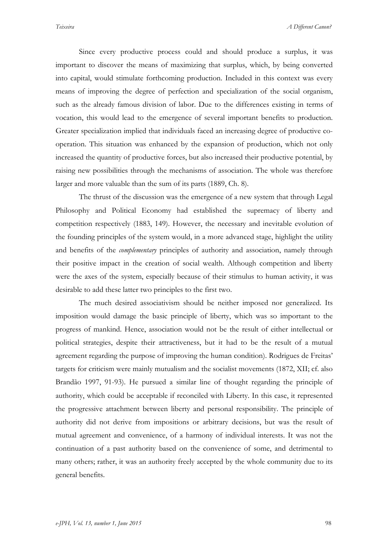*Teixeira A Different Canon?*

Since every productive process could and should produce a surplus, it was important to discover the means of maximizing that surplus, which, by being converted into capital, would stimulate forthcoming production. Included in this context was every means of improving the degree of perfection and specialization of the social organism, such as the already famous division of labor. Due to the differences existing in terms of vocation, this would lead to the emergence of several important benefits to production. Greater specialization implied that individuals faced an increasing degree of productive cooperation. This situation was enhanced by the expansion of production, which not only increased the quantity of productive forces, but also increased their productive potential, by raising new possibilities through the mechanisms of association. The whole was therefore larger and more valuable than the sum of its parts (1889, Ch. 8).

The thrust of the discussion was the emergence of a new system that through Legal Philosophy and Political Economy had established the supremacy of liberty and competition respectively (1883, 149). However, the necessary and inevitable evolution of the founding principles of the system would, in a more advanced stage, highlight the utility and benefits of the *complementary* principles of authority and association, namely through their positive impact in the creation of social wealth. Although competition and liberty were the axes of the system, especially because of their stimulus to human activity, it was desirable to add these latter two principles to the first two.

The much desired associativism should be neither imposed nor generalized. Its imposition would damage the basic principle of liberty, which was so important to the progress of mankind. Hence, association would not be the result of either intellectual or political strategies, despite their attractiveness, but it had to be the result of a mutual agreement regarding the purpose of improving the human condition). Rodrigues de Freitas' targets for criticism were mainly mutualism and the socialist movements (1872, XII; cf. also Brandão 1997, 91-93). He pursued a similar line of thought regarding the principle of authority, which could be acceptable if reconciled with Liberty. In this case, it represented the progressive attachment between liberty and personal responsibility. The principle of authority did not derive from impositions or arbitrary decisions, but was the result of mutual agreement and convenience, of a harmony of individual interests. It was not the continuation of a past authority based on the convenience of some, and detrimental to many others; rather, it was an authority freely accepted by the whole community due to its general benefits.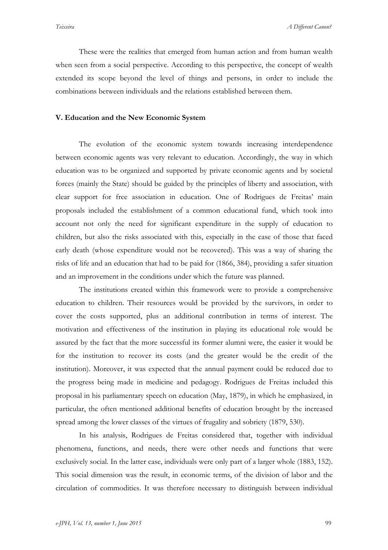These were the realities that emerged from human action and from human wealth when seen from a social perspective. According to this perspective, the concept of wealth extended its scope beyond the level of things and persons, in order to include the combinations between individuals and the relations established between them.

# **V. Education and the New Economic System**

The evolution of the economic system towards increasing interdependence between economic agents was very relevant to education. Accordingly, the way in which education was to be organized and supported by private economic agents and by societal forces (mainly the State) should be guided by the principles of liberty and association, with clear support for free association in education. One of Rodrigues de Freitas' main proposals included the establishment of a common educational fund, which took into account not only the need for significant expenditure in the supply of education to children, but also the risks associated with this, especially in the case of those that faced early death (whose expenditure would not be recovered). This was a way of sharing the risks of life and an education that had to be paid for (1866, 384), providing a safer situation and an improvement in the conditions under which the future was planned.

The institutions created within this framework were to provide a comprehensive education to children. Their resources would be provided by the survivors, in order to cover the costs supported, plus an additional contribution in terms of interest. The motivation and effectiveness of the institution in playing its educational role would be assured by the fact that the more successful its former alumni were, the easier it would be for the institution to recover its costs (and the greater would be the credit of the institution). Moreover, it was expected that the annual payment could be reduced due to the progress being made in medicine and pedagogy. Rodrigues de Freitas included this proposal in his parliamentary speech on education (May, 1879), in which he emphasized, in particular, the often mentioned additional benefits of education brought by the increased spread among the lower classes of the virtues of frugality and sobriety (1879, 530).

In his analysis, Rodrigues de Freitas considered that, together with individual phenomena, functions, and needs, there were other needs and functions that were exclusively social. In the latter case, individuals were only part of a larger whole (1883, 152). This social dimension was the result, in economic terms, of the division of labor and the circulation of commodities. It was therefore necessary to distinguish between individual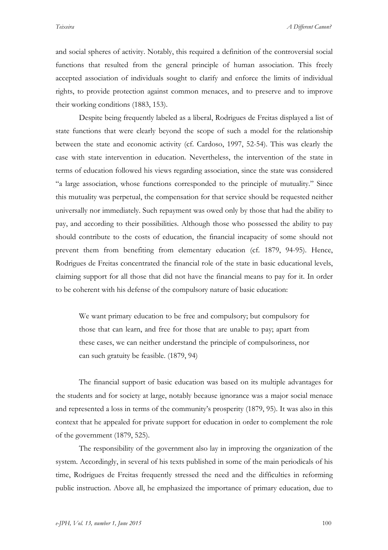*Teixeira A Different Canon?*

and social spheres of activity. Notably, this required a definition of the controversial social functions that resulted from the general principle of human association. This freely accepted association of individuals sought to clarify and enforce the limits of individual rights, to provide protection against common menaces, and to preserve and to improve their working conditions (1883, 153).

Despite being frequently labeled as a liberal, Rodrigues de Freitas displayed a list of state functions that were clearly beyond the scope of such a model for the relationship between the state and economic activity (cf. Cardoso, 1997, 52-54). This was clearly the case with state intervention in education. Nevertheless, the intervention of the state in terms of education followed his views regarding association, since the state was considered "a large association, whose functions corresponded to the principle of mutuality." Since this mutuality was perpetual, the compensation for that service should be requested neither universally nor immediately. Such repayment was owed only by those that had the ability to pay, and according to their possibilities. Although those who possessed the ability to pay should contribute to the costs of education, the financial incapacity of some should not prevent them from benefiting from elementary education (cf. 1879, 94-95). Hence, Rodrigues de Freitas concentrated the financial role of the state in basic educational levels, claiming support for all those that did not have the financial means to pay for it. In order to be coherent with his defense of the compulsory nature of basic education:

We want primary education to be free and compulsory; but compulsory for those that can learn, and free for those that are unable to pay; apart from these cases, we can neither understand the principle of compulsoriness, nor can such gratuity be feasible. (1879, 94)

The financial support of basic education was based on its multiple advantages for the students and for society at large, notably because ignorance was a major social menace and represented a loss in terms of the community's prosperity (1879, 95). It was also in this context that he appealed for private support for education in order to complement the role of the government (1879, 525).

The responsibility of the government also lay in improving the organization of the system. Accordingly, in several of his texts published in some of the main periodicals of his time, Rodrigues de Freitas frequently stressed the need and the difficulties in reforming public instruction. Above all, he emphasized the importance of primary education, due to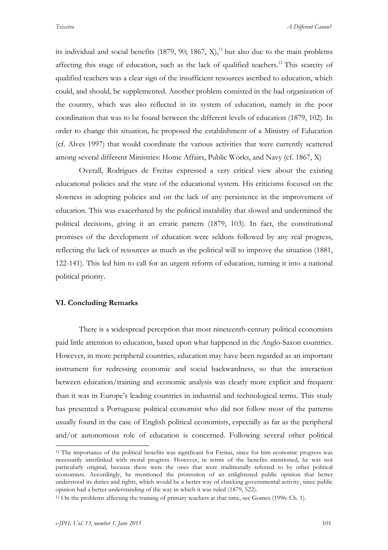its individual and social benefits  $(1879, 90; 1867, X)$ ,<sup>11</sup> but also due to the main problems affecting this stage of education, such as the lack of qualified teachers.<sup>12</sup> This scarcity of qualified teachers was a clear sign of the insufficient resources ascribed to education, which could, and should, be supplemented. Another problem consisted in the bad organization of the country, which was also reflected in its system of education, namely in the poor coordination that was to be found between the different levels of education (1879, 102). In order to change this situation, he proposed the establishment of a Ministry of Education (cf. Alves 1997) that would coordinate the various activities that were currently scattered among several different Ministries: Home Affairs, Public Works, and Navy (cf. 1867, X)

Overall, Rodrigues de Freitas expressed a very critical view about the existing educational policies and the state of the educational system. His criticisms focused on the slowness in adopting policies and on the lack of any persistence in the improvement of education. This was exacerbated by the political instability that slowed and undermined the political decisions, giving it an erratic pattern (1879, 103). In fact, the constitutional promises of the development of education were seldom followed by any real progress, reflecting the lack of resources as much as the political will to improve the situation (1881, 122-141). This led him to call for an urgent reform of education, turning it into a national political priority.

#### **VI. Concluding Remarks**

There is a widespread perception that most nineteenth-century political economists paid little attention to education, based upon what happened in the Anglo-Saxon countries. However, in more peripheral countries, education may have been regarded as an important instrument for redressing economic and social backwardness, so that the interaction between education/training and economic analysis was clearly more explicit and frequent than it was in Europe's leading countries in industrial and technological terms. This study has presented a Portuguese political economist who did not follow most of the patterns usually found in the case of English political economists, especially as far as the peripheral and/or autonomous role of education is concerned. Following several other political

<sup>&</sup>lt;sup>11</sup> The importance of the political benefits was significant for Freitas, since for him economic progress was necessarily interlinked with moral progress. However, in terms of the benefits mentioned, he was not particularly original, because these were the ones that were traditionally referred to by other political economists. Accordingly, he mentioned the promotion of an enlightened public opinion that better understood its duties and rights, which would be a better way of checking governmental activity, since public opinion had a better understanding of the way in which it was ruled (1879, 522).

<sup>12</sup> On the problems affecting the training of primary teachers at that time, see Gomes (1996: Ch. 1).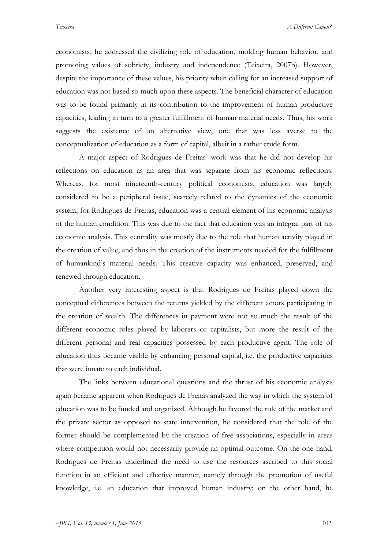economists, he addressed the civilizing role of education, molding human behavior, and promoting values of sobriety, industry and independence (Teixeira, 2007b). However, despite the importance of these values, his priority when calling for an increased support of education was not based so much upon these aspects. The beneficial character of education was to be found primarily in its contribution to the improvement of human productive capacities, leading in turn to a greater fulfillment of human material needs. Thus, his work suggests the existence of an alternative view, one that was less averse to the conceptualization of education as a form of capital, albeit in a rather crude form.

A major aspect of Rodrigues de Freitas' work was that he did not develop his reflections on education as an area that was separate from his economic reflections. Whereas, for most nineteenth-century political economists, education was largely considered to be a peripheral issue, scarcely related to the dynamics of the economic system, for Rodrigues de Freitas, education was a central element of his economic analysis of the human condition. This was due to the fact that education was an integral part of his economic analysis. This centrality was mostly due to the role that human activity played in the creation of value, and thus in the creation of the instruments needed for the fulfillment of humankind's material needs. This creative capacity was enhanced, preserved, and renewed through education.

Another very interesting aspect is that Rodrigues de Freitas played down the conceptual differences between the returns yielded by the different actors participating in the creation of wealth. The differences in payment were not so much the result of the different economic roles played by laborers or capitalists, but more the result of the different personal and real capacities possessed by each productive agent. The role of education thus became visible by enhancing personal capital, i.e. the productive capacities that were innate to each individual.

The links between educational questions and the thrust of his economic analysis again became apparent when Rodrigues de Freitas analyzed the way in which the system of education was to be funded and organized. Although he favored the role of the market and the private sector as opposed to state intervention, he considered that the role of the former should be complemented by the creation of free associations, especially in areas where competition would not necessarily provide an optimal outcome. On the one hand, Rodrigues de Freitas underlined the need to use the resources ascribed to this social function in an efficient and effective manner, namely through the promotion of useful knowledge, i.e. an education that improved human industry; on the other hand, he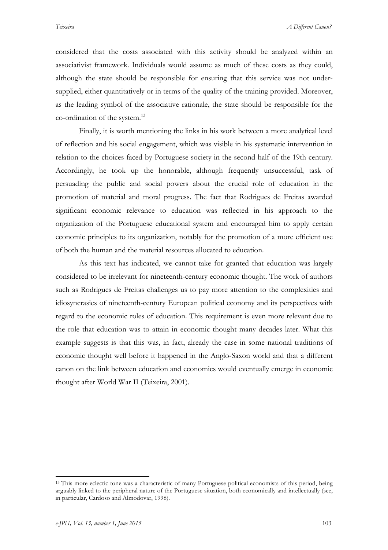considered that the costs associated with this activity should be analyzed within an associativist framework. Individuals would assume as much of these costs as they could, although the state should be responsible for ensuring that this service was not undersupplied, either quantitatively or in terms of the quality of the training provided. Moreover, as the leading symbol of the associative rationale, the state should be responsible for the co-ordination of the system.<sup>13</sup>

Finally, it is worth mentioning the links in his work between a more analytical level of reflection and his social engagement, which was visible in his systematic intervention in relation to the choices faced by Portuguese society in the second half of the 19th century. Accordingly, he took up the honorable, although frequently unsuccessful, task of persuading the public and social powers about the crucial role of education in the promotion of material and moral progress. The fact that Rodrigues de Freitas awarded significant economic relevance to education was reflected in his approach to the organization of the Portuguese educational system and encouraged him to apply certain economic principles to its organization, notably for the promotion of a more efficient use of both the human and the material resources allocated to education.

As this text has indicated, we cannot take for granted that education was largely considered to be irrelevant for nineteenth-century economic thought. The work of authors such as Rodrigues de Freitas challenges us to pay more attention to the complexities and idiosyncrasies of nineteenth-century European political economy and its perspectives with regard to the economic roles of education. This requirement is even more relevant due to the role that education was to attain in economic thought many decades later. What this example suggests is that this was, in fact, already the case in some national traditions of economic thought well before it happened in the Anglo-Saxon world and that a different canon on the link between education and economics would eventually emerge in economic thought after World War II (Teixeira, 2001).

<sup>&</sup>lt;sup>13</sup> This more eclectic tone was a characteristic of many Portuguese political economists of this period, being arguably linked to the peripheral nature of the Portuguese situation, both economically and intellectually (see, in particular, Cardoso and Almodovar, 1998).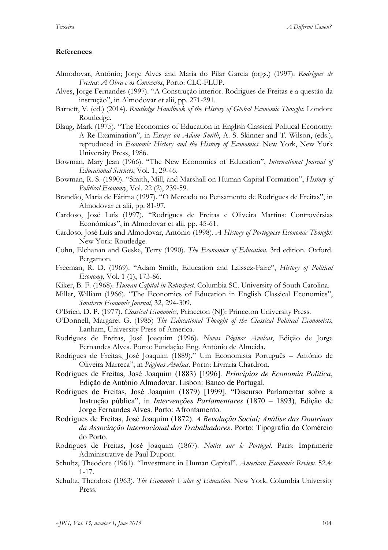# **References**

- Almodovar, António; Jorge Alves and Maria do Pilar Garcia (orgs.) (1997). *Rodrigues de Freitas: A Obra e os Contextos*, Porto: CLC-FLUP.
- Alves, Jorge Fernandes (1997). "A Construção interior. Rodrigues de Freitas e a questão da instrução", in Almodovar et alii, pp. 271-291.
- Barnett, V. (ed.) (2014). *Routledge Handbook of the History of Global Economic Thought*. London: Routledge.
- Blaug, Mark (1975). "The Economics of Education in English Classical Political Economy: A Re-Examination", in *Essays on Adam Smith*, A. S. Skinner and T. Wilson, (eds.), reproduced in *Economic History and the History of Economics*. New York, New York University Press, 1986.
- Bowman, Mary Jean (1966). "The New Economics of Education", *International Journal of Educational Sciences*, Vol. 1, 29-46.
- Bowman, R. S. (1990). "Smith, Mill, and Marshall on Human Capital Formation", *History of Political Economy*, Vol. 22 (2), 239-59.
- Brandão, Maria de Fátima (1997). "O Mercado no Pensamento de Rodrigues de Freitas", in Almodovar et alii, pp. 81-97.
- Cardoso, José Luís (1997). "Rodrigues de Freitas e Oliveira Martins: Controvérsias Económicas", in Almodovar et alii, pp. 45-61.
- Cardoso, José Luís and Almodovar, António (1998). *A History of Portuguese Economic Thought*. New York: Routledge.
- Cohn, Elchanan and Geske, Terry (1990). *The Economics of Education*. 3rd edition. Oxford. Pergamon.
- Freeman, R. D. (1969). "Adam Smith, Education and Laissez-Faire", *History of Political Economy*, Vol. 1 (1), 173-86.
- Kiker, B. F. (1968). *Human Capital in Retrospect*. Columbia SC. University of South Carolina.
- Miller, William (1966). "The Economics of Education in English Classical Economics", *Southern Economic Journal*, 32, 294-309.
- O'Brien, D. P. (1977). *Classical Economics*, Princeton (NJ): Princeton University Press.
- O'Donnell, Margaret G. (1985) *The Educational Thought of the Classical Political Economists*, Lanham, University Press of America.
- Rodrigues de Freitas, José Joaquim (1996). *Novas Páginas Avulsas*, Edição de Jorge Fernandes Alves. Porto: Fundação Eng. António de Almeida.
- Rodrigues de Freitas, José Joaquim (1889)." Um Economista Português António de Oliveira Marreca", in *Páginas Avulsas*. Porto: Livraria Chardron.
- Rodrigues de Freitas, José Joaquim (1883) [1996]. *Princípios de Economia Politica*, Edição de António Almodovar. Lisbon: Banco de Portugal.
- Rodrigues de Freitas, José Joaquim (1879) [1999]. "Discurso Parlamentar sobre a Instrução pública", in *Intervenções Parlamentares* (1870 – 1893), Edição de Jorge Fernandes Alves. Porto: Afrontamento.
- Rodrigues de Freitas, José Joaquim (1872). *A Revolução Social; Análise das Doutrinas da Associação Internacional dos Trabalhadores*. Porto: Tipografia do Comércio do Porto.
- Rodrigues de Freitas, José Joaquim (1867). *Notice sur le Portugal*. Paris: Imprimerie Administrative de Paul Dupont.
- Schultz, Theodore (1961). "Investment in Human Capital". *American Economic Review*. 52.4: 1-17.
- Schultz, Theodore (1963). *The Economic Value of Education*. New York. Columbia University Press.